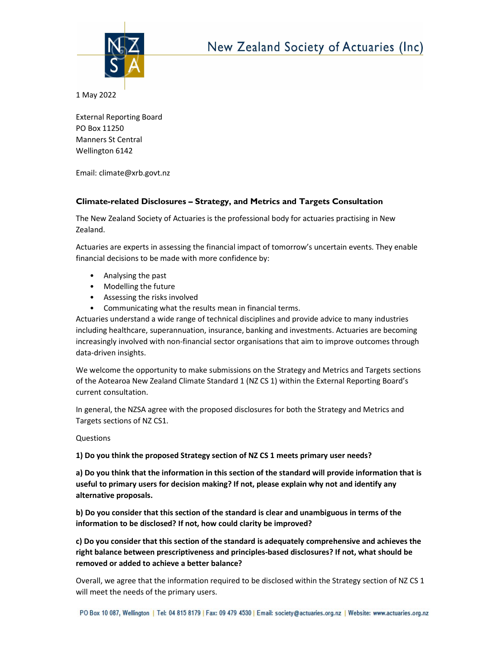

1 May 2022

External Reporting Board PO Box 11250 Manners St Central Wellington 6142

Email: climate@xrb.govt.nz

## Climate-related Disclosures – Strategy, and Metrics and Targets Consultation

The New Zealand Society of Actuaries is the professional body for actuaries practising in New Zealand.

Actuaries are experts in assessing the financial impact of tomorrow's uncertain events. They enable financial decisions to be made with more confidence by:

- Analysing the past
- Modelling the future
- Assessing the risks involved
- Communicating what the results mean in financial terms.

Actuaries understand a wide range of technical disciplines and provide advice to many industries including healthcare, superannuation, insurance, banking and investments. Actuaries are becoming increasingly involved with non-financial sector organisations that aim to improve outcomes through data-driven insights.

We welcome the opportunity to make submissions on the Strategy and Metrics and Targets sections of the Aotearoa New Zealand Climate Standard 1 (NZ CS 1) within the External Reporting Board's current consultation.

In general, the NZSA agree with the proposed disclosures for both the Strategy and Metrics and Targets sections of NZ CS1.

Questions

1) Do you think the proposed Strategy section of NZ CS 1 meets primary user needs?

a) Do you think that the information in this section of the standard will provide information that is useful to primary users for decision making? If not, please explain why not and identify any alternative proposals.

b) Do you consider that this section of the standard is clear and unambiguous in terms of the information to be disclosed? If not, how could clarity be improved?

c) Do you consider that this section of the standard is adequately comprehensive and achieves the right balance between prescriptiveness and principles-based disclosures? If not, what should be removed or added to achieve a better balance?

Overall, we agree that the information required to be disclosed within the Strategy section of NZ CS 1 will meet the needs of the primary users.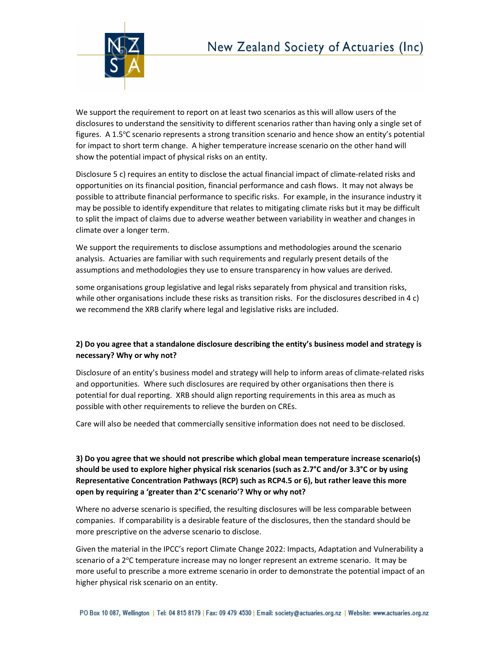

We support the requirement to report on at least two scenarios as this will allow users of the disclosures to understand the sensitivity to different scenarios rather than having only a single set of figures. A 1.5°C scenario represents a strong transition scenario and hence show an entity's potential for impact to short term change. A higher temperature increase scenario on the other hand will show the potential impact of physical risks on an entity.

Disclosure 5 c) requires an entity to disclose the actual financial impact of climate-related risks and opportunities on its financial position, financial performance and cash flows. It may not always be possible to attribute financial performance to specific risks. For example, in the insurance industry it may be possible to identify expenditure that relates to mitigating climate risks but it may be difficult to split the impact of claims due to adverse weather between variability in weather and changes in climate over a longer term.

We support the requirements to disclose assumptions and methodologies around the scenario analysis. Actuaries are familiar with such requirements and regularly present details of the assumptions and methodologies they use to ensure transparency in how values are derived.

some organisations group legislative and legal risks separately from physical and transition risks, while other organisations include these risks as transition risks. For the disclosures described in 4 c) we recommend the XRB clarify where legal and legislative risks are included.

## 2) Do you agree that a standalone disclosure describing the entity's business model and strategy is necessary? Why or why not?

Disclosure of an entity's business model and strategy will help to inform areas of climate-related risks and opportunities. Where such disclosures are required by other organisations then there is potential for dual reporting. XRB should align reporting requirements in this area as much as possible with other requirements to relieve the burden on CREs.

Care will also be needed that commercially sensitive information does not need to be disclosed.

3) Do you agree that we should not prescribe which global mean temperature increase scenario(s) should be used to explore higher physical risk scenarios (such as 2.7°C and/or 3.3°C or by using Representative Concentration Pathways (RCP) such as RCP4.5 or 6), but rather leave this more open by requiring a 'greater than 2°C scenario'? Why or why not?

Where no adverse scenario is specified, the resulting disclosures will be less comparable between companies. If comparability is a desirable feature of the disclosures, then the standard should be more prescriptive on the adverse scenario to disclose.

Given the material in the IPCC's report Climate Change 2022: Impacts, Adaptation and Vulnerability a scenario of a  $2^{\circ}$ C temperature increase may no longer represent an extreme scenario. It may be more useful to prescribe a more extreme scenario in order to demonstrate the potential impact of an higher physical risk scenario on an entity.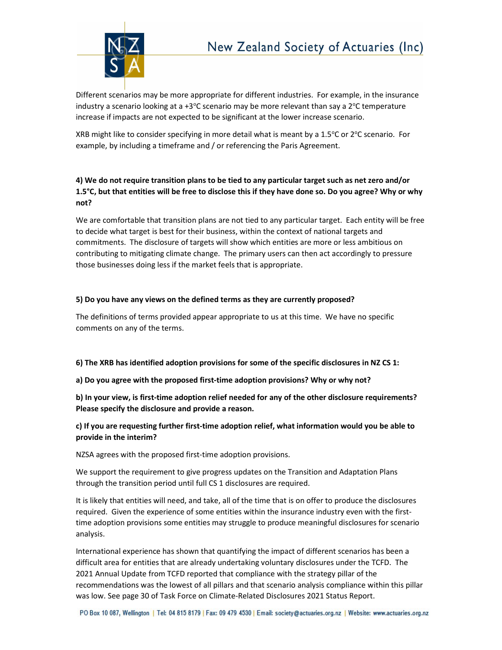

Different scenarios may be more appropriate for different industries. For example, in the insurance industry a scenario looking at a +3 $\degree$ C scenario may be more relevant than say a  $2\degree$ C temperature increase if impacts are not expected to be significant at the lower increase scenario.

XRB might like to consider specifying in more detail what is meant by a 1.5 $\degree$ C or 2 $\degree$ C scenario. For example, by including a timeframe and / or referencing the Paris Agreement.

# 4) We do not require transition plans to be tied to any particular target such as net zero and/or 1.5°C, but that entities will be free to disclose this if they have done so. Do you agree? Why or why not?

We are comfortable that transition plans are not tied to any particular target. Each entity will be free to decide what target is best for their business, within the context of national targets and commitments. The disclosure of targets will show which entities are more or less ambitious on contributing to mitigating climate change. The primary users can then act accordingly to pressure those businesses doing less if the market feels that is appropriate.

### 5) Do you have any views on the defined terms as they are currently proposed?

The definitions of terms provided appear appropriate to us at this time. We have no specific comments on any of the terms.

#### 6) The XRB has identified adoption provisions for some of the specific disclosures in NZ CS 1:

### a) Do you agree with the proposed first-time adoption provisions? Why or why not?

b) In your view, is first-time adoption relief needed for any of the other disclosure requirements? Please specify the disclosure and provide a reason.

### c) If you are requesting further first-time adoption relief, what information would you be able to provide in the interim?

NZSA agrees with the proposed first-time adoption provisions.

We support the requirement to give progress updates on the Transition and Adaptation Plans through the transition period until full CS 1 disclosures are required.

It is likely that entities will need, and take, all of the time that is on offer to produce the disclosures required. Given the experience of some entities within the insurance industry even with the firsttime adoption provisions some entities may struggle to produce meaningful disclosures for scenario analysis.

International experience has shown that quantifying the impact of different scenarios has been a difficult area for entities that are already undertaking voluntary disclosures under the TCFD. The 2021 Annual Update from TCFD reported that compliance with the strategy pillar of the recommendations was the lowest of all pillars and that scenario analysis compliance within this pillar was low. See page 30 of Task Force on Climate-Related Disclosures 2021 Status Report.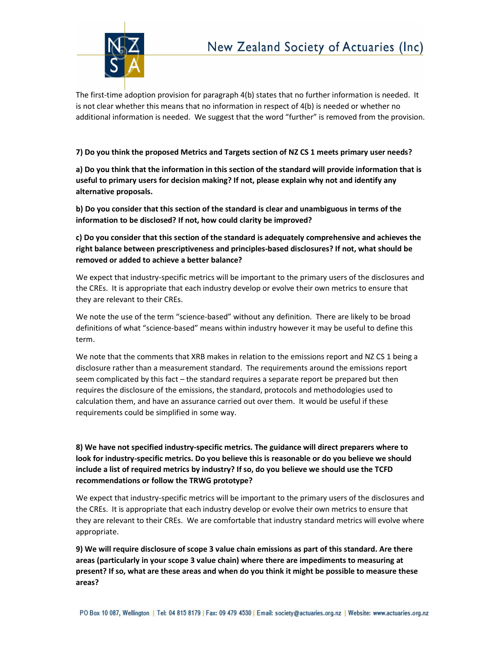

The first-time adoption provision for paragraph 4(b) states that no further information is needed. It is not clear whether this means that no information in respect of 4(b) is needed or whether no additional information is needed. We suggest that the word "further" is removed from the provision.

### 7) Do you think the proposed Metrics and Targets section of NZ CS 1 meets primary user needs?

a) Do you think that the information in this section of the standard will provide information that is useful to primary users for decision making? If not, please explain why not and identify any alternative proposals.

b) Do you consider that this section of the standard is clear and unambiguous in terms of the information to be disclosed? If not, how could clarity be improved?

c) Do you consider that this section of the standard is adequately comprehensive and achieves the right balance between prescriptiveness and principles-based disclosures? If not, what should be removed or added to achieve a better balance?

We expect that industry-specific metrics will be important to the primary users of the disclosures and the CREs. It is appropriate that each industry develop or evolve their own metrics to ensure that they are relevant to their CREs.

We note the use of the term "science-based" without any definition. There are likely to be broad definitions of what "science-based" means within industry however it may be useful to define this term.

We note that the comments that XRB makes in relation to the emissions report and NZ CS 1 being a disclosure rather than a measurement standard. The requirements around the emissions report seem complicated by this fact – the standard requires a separate report be prepared but then requires the disclosure of the emissions, the standard, protocols and methodologies used to calculation them, and have an assurance carried out over them. It would be useful if these requirements could be simplified in some way.

# 8) We have not specified industry-specific metrics. The guidance will direct preparers where to look for industry-specific metrics. Do you believe this is reasonable or do you believe we should include a list of required metrics by industry? If so, do you believe we should use the TCFD recommendations or follow the TRWG prototype?

We expect that industry-specific metrics will be important to the primary users of the disclosures and the CREs. It is appropriate that each industry develop or evolve their own metrics to ensure that they are relevant to their CREs. We are comfortable that industry standard metrics will evolve where appropriate.

9) We will require disclosure of scope 3 value chain emissions as part of this standard. Are there areas (particularly in your scope 3 value chain) where there are impediments to measuring at present? If so, what are these areas and when do you think it might be possible to measure these areas?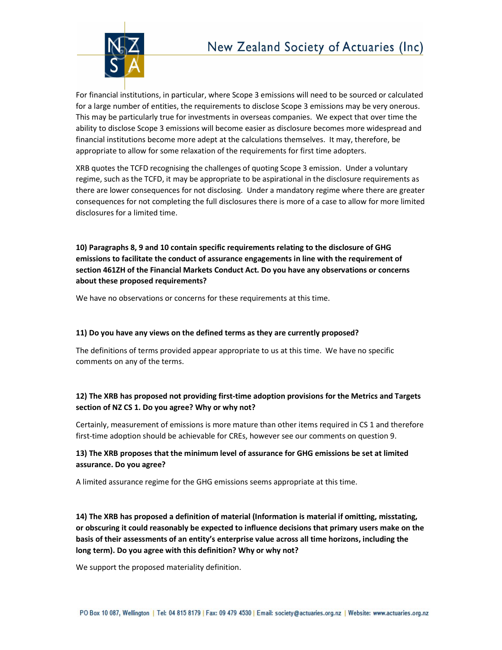

For financial institutions, in particular, where Scope 3 emissions will need to be sourced or calculated for a large number of entities, the requirements to disclose Scope 3 emissions may be very onerous. This may be particularly true for investments in overseas companies. We expect that over time the ability to disclose Scope 3 emissions will become easier as disclosure becomes more widespread and financial institutions become more adept at the calculations themselves. It may, therefore, be appropriate to allow for some relaxation of the requirements for first time adopters.

XRB quotes the TCFD recognising the challenges of quoting Scope 3 emission. Under a voluntary regime, such as the TCFD, it may be appropriate to be aspirational in the disclosure requirements as there are lower consequences for not disclosing. Under a mandatory regime where there are greater consequences for not completing the full disclosures there is more of a case to allow for more limited disclosures for a limited time.

10) Paragraphs 8, 9 and 10 contain specific requirements relating to the disclosure of GHG emissions to facilitate the conduct of assurance engagements in line with the requirement of section 461ZH of the Financial Markets Conduct Act. Do you have any observations or concerns about these proposed requirements?

We have no observations or concerns for these requirements at this time.

#### 11) Do you have any views on the defined terms as they are currently proposed?

The definitions of terms provided appear appropriate to us at this time. We have no specific comments on any of the terms.

## 12) The XRB has proposed not providing first-time adoption provisions for the Metrics and Targets section of NZ CS 1. Do you agree? Why or why not?

Certainly, measurement of emissions is more mature than other items required in CS 1 and therefore first-time adoption should be achievable for CREs, however see our comments on question 9.

## 13) The XRB proposes that the minimum level of assurance for GHG emissions be set at limited assurance. Do you agree?

A limited assurance regime for the GHG emissions seems appropriate at this time.

14) The XRB has proposed a definition of material (Information is material if omitting, misstating, or obscuring it could reasonably be expected to influence decisions that primary users make on the basis of their assessments of an entity's enterprise value across all time horizons, including the long term). Do you agree with this definition? Why or why not?

We support the proposed materiality definition.